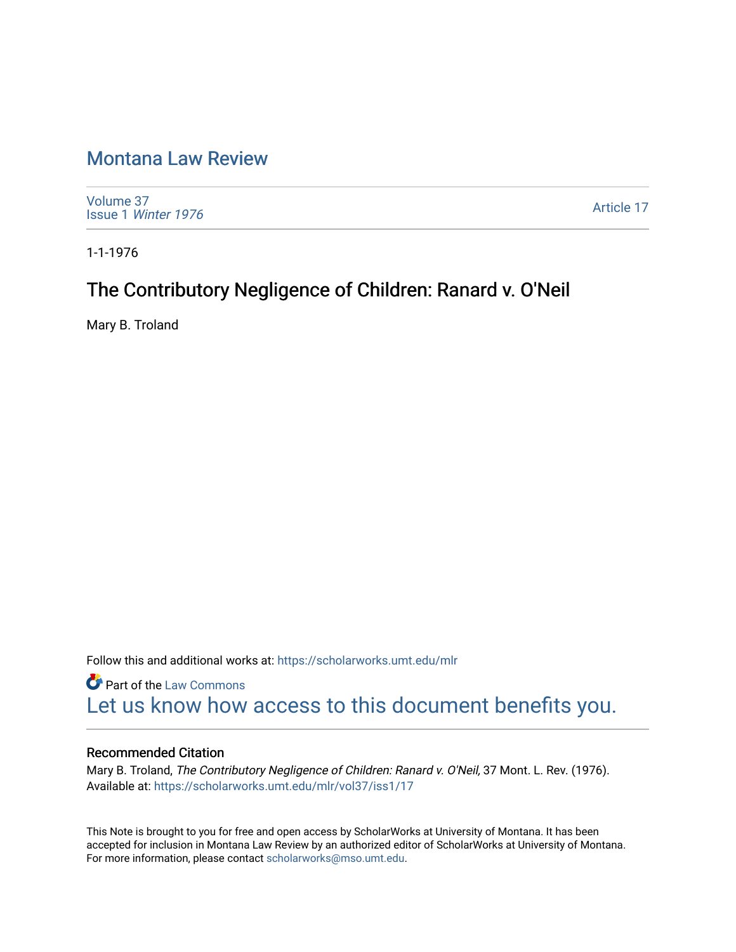# [Montana Law Review](https://scholarworks.umt.edu/mlr)

[Volume 37](https://scholarworks.umt.edu/mlr/vol37) Issue 1 [Winter 1976](https://scholarworks.umt.edu/mlr/vol37/iss1) 

[Article 17](https://scholarworks.umt.edu/mlr/vol37/iss1/17) 

1-1-1976

# The Contributory Negligence of Children: Ranard v. O'Neil

Mary B. Troland

Follow this and additional works at: [https://scholarworks.umt.edu/mlr](https://scholarworks.umt.edu/mlr?utm_source=scholarworks.umt.edu%2Fmlr%2Fvol37%2Fiss1%2F17&utm_medium=PDF&utm_campaign=PDFCoverPages) 

**Part of the [Law Commons](http://network.bepress.com/hgg/discipline/578?utm_source=scholarworks.umt.edu%2Fmlr%2Fvol37%2Fiss1%2F17&utm_medium=PDF&utm_campaign=PDFCoverPages)** [Let us know how access to this document benefits you.](https://goo.gl/forms/s2rGfXOLzz71qgsB2) 

#### Recommended Citation

Mary B. Troland, The Contributory Negligence of Children: Ranard v. O'Neil, 37 Mont. L. Rev. (1976). Available at: [https://scholarworks.umt.edu/mlr/vol37/iss1/17](https://scholarworks.umt.edu/mlr/vol37/iss1/17?utm_source=scholarworks.umt.edu%2Fmlr%2Fvol37%2Fiss1%2F17&utm_medium=PDF&utm_campaign=PDFCoverPages)

This Note is brought to you for free and open access by ScholarWorks at University of Montana. It has been accepted for inclusion in Montana Law Review by an authorized editor of ScholarWorks at University of Montana. For more information, please contact [scholarworks@mso.umt.edu.](mailto:scholarworks@mso.umt.edu)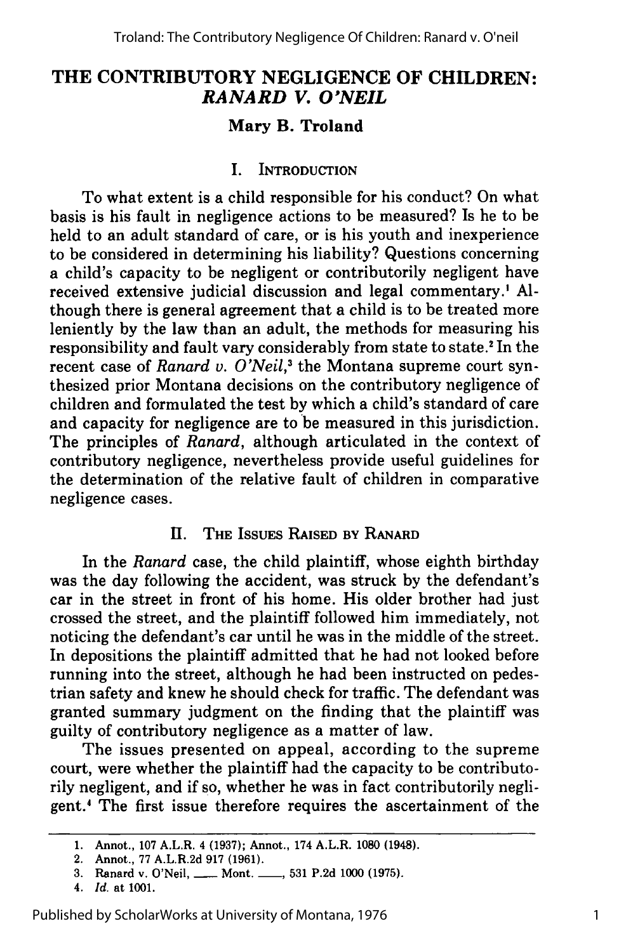# **THE CONTRIBUTORY NEGLIGENCE OF CHILDREN:** *RANARD V. O'NEIL*

## **Mary B. Troland**

### **I.** INTRODUCTION

To what extent is a child responsible for his conduct? On what basis is his fault in negligence actions to be measured? Is he to be held to an adult standard of care, or is his youth and inexperience to be considered in determining his liability? Questions concerning a child's capacity to be negligent or contributorily negligent have received extensive judicial discussion and legal commentary.' **Al**though there is general agreement that a child is to be treated more leniently **by** the law than an adult, the methods for measuring his responsibility and fault vary considerably from state to state.2 In the recent case of *Ranard v. O'Neil*,<sup>3</sup> the Montana supreme court synthesized prior Montana decisions on the contributory negligence of children and formulated the test **by** which a child's standard of care and capacity for negligence are to be measured in this jurisdiction. The principles of *Ranard,* although articulated in the context of contributory negligence, nevertheless provide useful guidelines for the determination of the relative fault of children in comparative negligence cases.

## **1I.** THE ISSUES RAISED BY RANARD

In the *Ranard* case, the child plaintiff, whose eighth birthday was the day following the accident, was struck **by** the defendant's car in the street in front of his home. His older brother had just crossed the street, and the plaintiff followed him immediately, not noticing the defendant's car until he was in the middle of the street. In depositions the plaintiff admitted that he had not looked before running into the street, although he had been instructed on pedestrian safety and knew he should check for traffic. The defendant was granted summary judgment on the finding that the plaintiff was guilty of contributory negligence as a matter of law.

The issues presented on appeal, according to the supreme court, were whether the plaintiff had the capacity to be contributorily negligent, and if so, whether he was in fact contributorily negligent.' The first issue therefore requires the ascertainment of the

**<sup>1.</sup>** Annot., **107** A.L.R. 4 **(1937);** Annot., 174 A.L.R. **1080** (1948).

<sup>2.</sup> Annot., **77** A.L.R.2d **917 (1961).**

<sup>3.</sup> Ranard v. O'Neil, \_\_\_ Mont. \_\_\_, 531 P.2d 1000 (1975).

*<sup>4.</sup> Id.* at **1001.**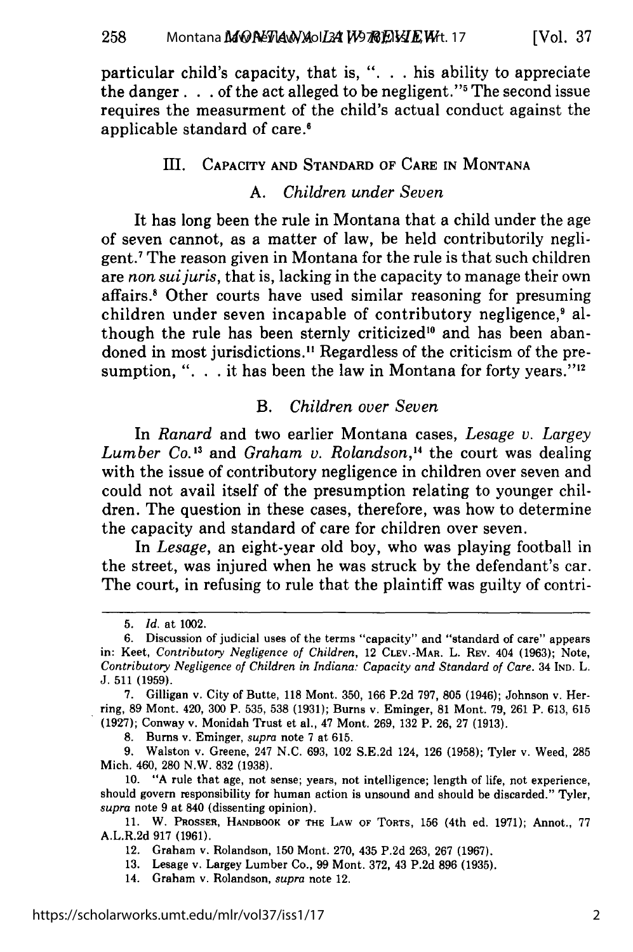applicable standard of care.'

particular child's capacity, that is, ". **.** . his ability to appreciate the danger.  $\ldots$  of the act alleged to be negligent."<sup>5</sup> The second issue requires the measurment of the child's actual conduct against the

I. CAPACITY **AND STANDARD** OF CARE **IN** MONTANA

#### *A. Children under Seven*

It has long been the rule in Montana that a child under the age of seven cannot, as a matter of law, be held contributorily negligent.' The reason given in Montana for the rule is that such children are *non suijuris,* that is, lacking in the capacity to manage their own affairs.' Other courts have used similar reasoning for presuming children under seven incapable of contributory negligence,<sup>9</sup> although the rule has been sternly criticized<sup>10</sup> and has been abandoned in most jurisdictions." Regardless of the criticism of the presumption, ". . . it has been the law in Montana for forty years."

## *B. Children over Seven*

In *Ranard* and two earlier Montana cases, *Lesage v. Largey Lumber Co.'3* and *Graham v. Rolandson,'4* the court was dealing with the issue of contributory negligence in children over seven and could not avail itself of the presumption relating to younger children. The question in these cases, therefore, was how to determine the capacity and standard of care for children over seven.

In *Lesage,* an eight-year old boy, who was playing football in the street, was injured when he was struck by the defendant's car. The court, in refusing to rule that the plaintiff was guilty of contri-

8. Burns v. Eminger, *supra* note 7 at 615.

9. Walston v. Greene, 247 N.C. 693, 102 S.E.2d 124, 126 (1958); Tyler v. Weed, 285 Mich. 460, 280 N.W. 832 (1938).

10. "A rule that age, not sense; years, not intelligence; length of life, not experience, should govern responsibility for human action is unsound and should be discarded." Tyler, *supra* note 9 at 840 (dissenting opinion).

11. W. PROSSER, HANDBOOK OF THE LAW OF TORTS, 156 (4th ed. 1971); Annot., 77 A.L.R.2d **917 (1961).**

12. Graham v. Rolandson, **150** Mont. **270,** 435 **P.2d 263, 267 (1967).**

**13.** Lesage v. Largey Lumber Co., **99** Mont. **372,** 43 **P.2d 896 (1935).**

14. Graham v. Rolandson, *supra* note 12.

<sup>5.</sup> *Id.* at 1002.

<sup>6.</sup> Discussion of judicial uses of the terms "capacity" and "standard of care" appears in: Keet, *Contributory Negligence of Children,* 12 CLEV.-MAR. L. REV. 404 (1963); Note, *Contributory Negligence of Children in Indiana: Capacity and Standard of Care.* 34 IND. L. J. 511 (1959).

<sup>7.</sup> Gilligan v. City of Butte, 118 Mont. 350, 166 P.2d 797, 805 (1946); Johnson v. Herring, 89 Mont. 420, 300 P. 535, 538 (1931); Burns v. Eminger, 81 Mont. 79, 261 P. 613, 615 (1927); Conway v. Monidah Trust et al., 47 Mont. 269, 132 P. 26, 27 (1913).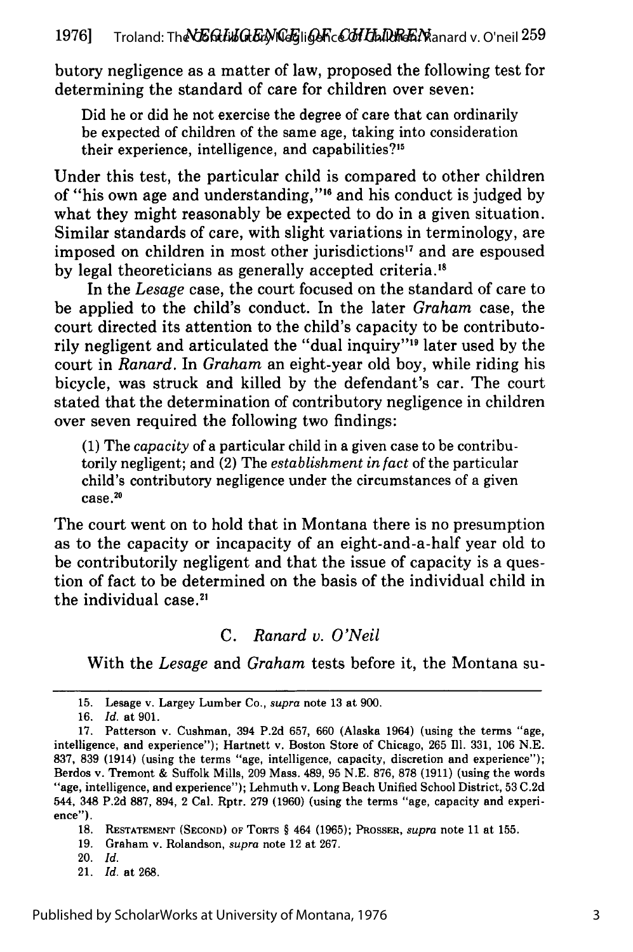butory negligence as a matter of law, proposed the following test for determining the standard of care for children over seven:

Did he or did he not exercise the degree of care that can ordinarily be expected of children of the same age, taking into consideration their experience, intelligence, and capabilities?'<sup>5</sup>

Under this test, the particular child is compared to other children of "his own age and understanding,"'" and his conduct is judged by what they might reasonably be expected to do in a given situation. Similar standards of care, with slight variations in terminology, are imposed on children in most other jurisdictions" and are espoused **by** legal theoreticians as generally accepted criteria.'8

In the *Lesage* case, the court focused on the standard of care to be applied to the child's conduct. In the later *Graham* case, the court directed its attention to the child's capacity to be contributorily negligent and articulated the "dual inquiry"<sup>19</sup> later used by the court in *Ranard.* In *Graham* an eight-year old boy, while riding his bicycle, was struck and killed by the defendant's car. The court stated that the determination of contributory negligence in children over seven required the following two findings:

(1) The *capacity* of a particular child in a given case to be contributorily negligent; and (2) The *establishment in fact* of the particular child's contributory negligence under the circumstances of a given case **.20**

The court went on to hold that in Montana there is no presumption as to the capacity or incapacity of an eight-and-a-half year old to be contributorily negligent and that the issue of capacity is a question of fact to be determined on the basis of the individual child in the individual case.<sup>21</sup>

## *C. Ranard v. O'Neil*

With the *Lesage* and *Graham* tests before it, the Montana su-

- 20. *Id.*
- 21. *Id.* at 268.

<sup>15.</sup> Lesage v. Largey Lumber Co., supra note 13 at 900.

<sup>16.</sup> *Id.* at 901.

<sup>17.</sup> Patterson v. Cushman, 394 P.2d 657, 660 (Alaska 1964) (using the terms "age, intelligence, and experience"); Hartnett v. Boston Store of Chicago, 265 Ill. 331, 106 N.E. 837, 839 (1914) (using the terms "age, intelligence, capacity, discretion and experience"); Berdos v. Tremont & Suffolk Mills, 209 Mass. 489, 95 N.E. 876, 878 (1911) (using the words "age, intelligence, and experience"); Lehmuth v. Long Beach Unified School District, 53 C.2d 544, 348 P.2d 887, 894, 2 Cal. Rptr. 279 (1960) (using the terms "age, capacity and experience").

**<sup>18.</sup> RESTATEMENT (SECOND)** OF TORTS § 464 (1965); **PROSSER,** supra note 11 at 155.

**<sup>19.</sup>** Graham v. Rolandson, supra note 12 at **267.**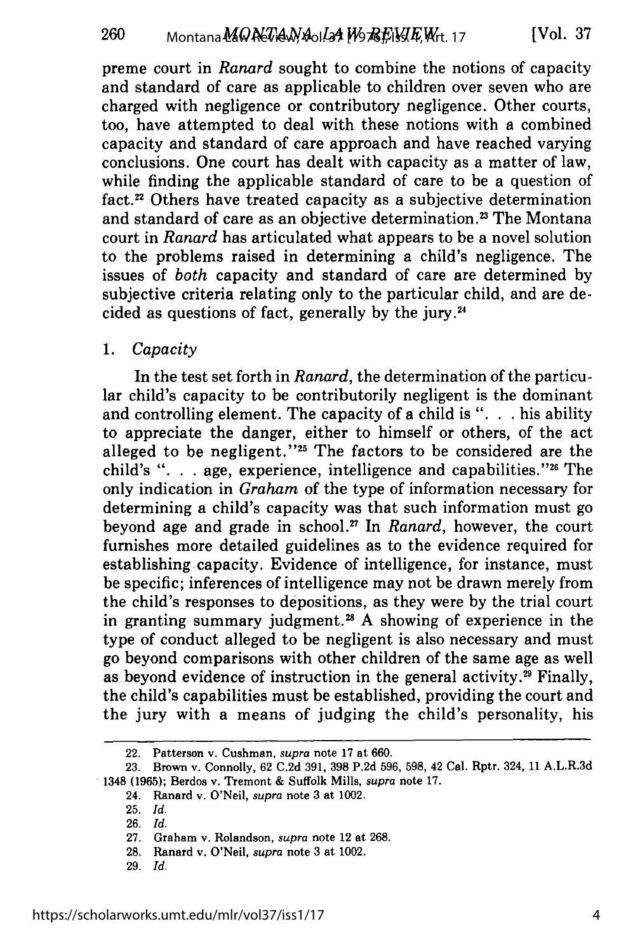preme court in *Ranard* sought to combine the notions of capacity and standard of care as applicable to children over seven who are charged with negligence or contributory negligence. Other courts, too, have attempted to deal with these notions with a combined capacity and standard of care approach and have reached varying conclusions. One court has dealt with capacity as a matter of law, while finding the applicable standard of care to be a question of fact.<sup>22</sup> Others have treated capacity as a subjective determination and standard of care as an objective determination.<sup>23</sup> The Montana court in *Ranard* has articulated what appears to be a novel solution to the problems raised in determining a child's negligence. The issues of *both* capacity and standard of care are determined by subjective criteria relating only to the particular child, and are decided as questions of fact, generally by the jury.24

#### *1. Capacity*

In the test set forth in *Ranard,* the determination of the particular child's capacity to be contributorily negligent is the dominant and controlling element. The capacity of a child is ". **.** . his ability to appreciate the danger, either to himself or others, of the act alleged to be negligent."<sup>25</sup> The factors to be considered are the child's ". **.** . age, experience, intelligence and capabilities."26 The only indication in *Graham* of the type of information necessary for determining a child's capacity was that such information must go beyond age and grade in school.27 In *Ranard,* however, the court furnishes more detailed guidelines as to the evidence required for establishing capacity. Evidence of intelligence, for instance, must be specific; inferences of intelligence may not be drawn merely from the child's responses to depositions, as they were by the trial court in granting summary judgment.<sup>28</sup> A showing of experience in the type of conduct alleged to be negligent is also necessary and must go beyond comparisons with other children of the same age as well as beyond evidence of instruction in the general activity.<sup>29</sup> Finally, the child's capabilities must be established, providing the court and the jury with a means of judging the child's personality, his

<sup>22.</sup> Patterson v. Cushman, *supra* note 17 at 660.

<sup>23.</sup> Brown v. Connolly, 62 C.2d 391, 398 P.2d 596, 598, 42 Cal. Rptr. 324, 11 A.L.R.3d 1348 **(1965);** Berdos v. Tremont & Suffolk Mills, *supra* note **17.**

<sup>24.</sup> Ranard v. O'Neil, *supra* note 3 at 1002.

<sup>25.</sup> *Id.*

<sup>26.</sup> *Id.*

<sup>27.</sup> Graham v. Rolandson, *supra* note 12 at 268.

<sup>28.</sup> Ranard v. O'Neil, *supra* note 3 at 1002.

<sup>29.</sup> *Id.*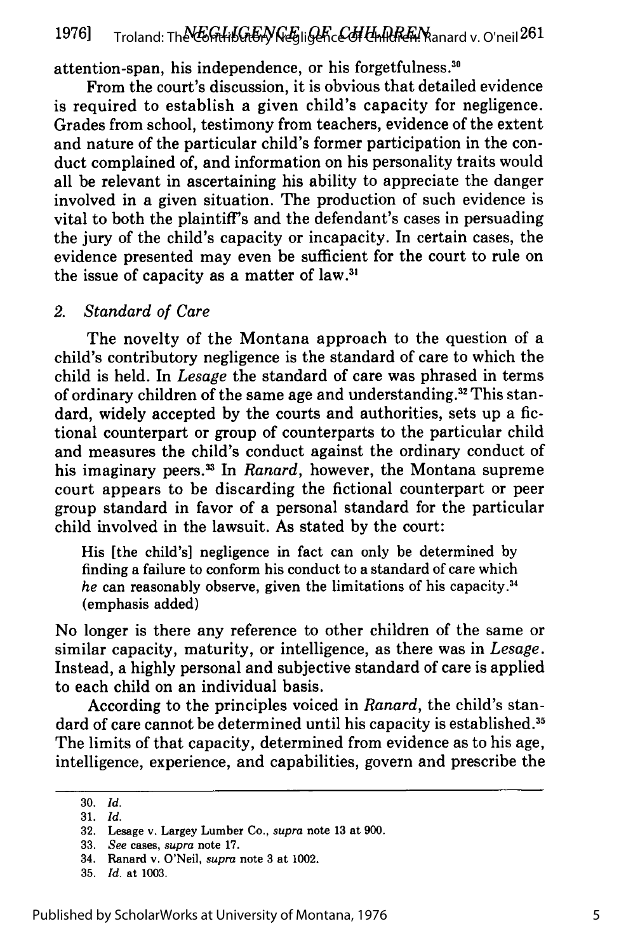attention-span, his independence, or his forgetfulness."

From the court's discussion, it is obvious that detailed evidence is required to establish a given child's capacity for negligence. Grades from school, testimony from teachers, evidence of the extent and nature of the particular child's former participation in the conduct complained of, and information on his personality traits would all be relevant in ascertaining his ability to appreciate the danger involved in a given situation. The production of such evidence is vital to both the plaintiff's and the defendant's cases in persuading the jury of the child's capacity or incapacity. In certain cases, the evidence presented may even be sufficient for the court to rule on the issue of capacity as a matter of law.<sup>3</sup>

#### *2. Standard of Care*

The novelty of the Montana approach to the question of a child's contributory negligence is the standard of care to which the child is held. In *Lesage* the standard of care was phrased in terms of ordinary children of the same age and understanding.<sup>32</sup> This standard, widely accepted by the courts and authorities, sets up a fictional counterpart or group of counterparts to the particular child and measures the child's conduct against the ordinary conduct of his imaginary peers.<sup>33</sup> In *Ranard*, however, the Montana supreme court appears to be discarding the fictional counterpart or peer group standard in favor of a personal standard for the particular child involved in the lawsuit. As stated by the court:

His [the child's] negligence in fact can only be determined by finding a failure to conform his conduct to a standard of care which *he* can reasonably observe, given the limitations of his capacity. <sup>34</sup> (emphasis added)

No longer is there any reference to other children of the same or similar capacity, maturity, or intelligence, as there was in *Lesage.* Instead, a highly personal and subjective standard of care is applied to each child on an individual basis.

According to the principles voiced in *Ranard,* the child's standard of care cannot be determined until his capacity is established.<sup>35</sup> The limits of that capacity, determined from evidence as to his age, intelligence, experience, and capabilities, govern and prescribe the

**<sup>30.</sup>** *Id.* **31.** *Id.*

**<sup>32.</sup>** Lesage v. Largey Lumber Co., *supra* note **13** at **900.**

**<sup>33.</sup>** *See* cases, *supra* note **17.**

<sup>34.</sup> Ranard v. O'Neil, *supra* note **3** at 1002.

**<sup>35.</sup>** *Id.* at **1003.**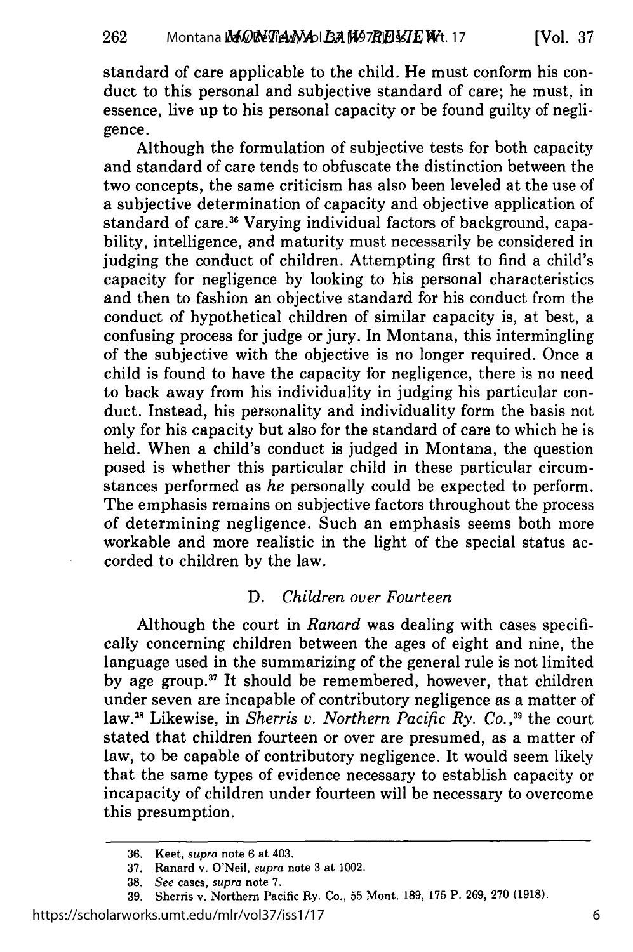standard of care applicable to the child. He must conform his conduct to this personal and subjective standard of care; he must, in essence, live up to his personal capacity or be found guilty of negligence.

Although the formulation of subjective tests for both capacity and standard of care tends to obfuscate the distinction between the two concepts, the same criticism has also been leveled at the use of a subjective determination of capacity and objective application of standard of care.<sup>36</sup> Varying individual factors of background, capability, intelligence, and maturity must necessarily be considered in judging the conduct of children. Attempting first to find a child's capacity for negligence by looking to his personal characteristics and then to fashion an objective standard for his conduct from the conduct of hypothetical children of similar capacity is, at best, a confusing process for judge or jury. In Montana, this intermingling of the subjective with the objective is no longer required. Once a child is found to have the capacity for negligence, there is no need to back away from his individuality in judging his particular conduct. Instead, his personality and individuality form the basis not only for his capacity but also for the standard of care to which he is held. When a child's conduct is judged in Montana, the question posed is whether this particular child in these particular circumstances performed as *he* personally could be expected to perform. The emphasis remains on subjective factors throughout the process of determining negligence. Such an emphasis seems both more workable and more realistic in the light of the special status accorded to children by the law.

### *D. Children over Fourteen*

Although the court in *Ranard* was dealing with cases specifically concerning children between the ages of eight and nine, the language used in the summarizing of the general rule is not limited by age group.<sup>37</sup> It should be remembered, however, that children under seven are incapable of contributory negligence as a matter of law.<sup>38</sup> Likewise, in *Sherris v. Northern Pacific Ry. Co.*,<sup>39</sup> the cour stated that children fourteen or over are presumed, as a matter of law, to be capable of contributory negligence. It would seem likely that the same types of evidence necessary to establish capacity or incapacity of children under fourteen will be necessary to overcome this presumption.

<sup>36.</sup> Keet, *supra* note 6 at 403.

<sup>37.</sup> Ranard v. O'Neil, *supra* note 3 at 1002.

<sup>38.</sup> *See* cases, *supra* note 7.

<sup>39.</sup> Sherris v. Northern Pacific Ry. Co., 55 Mont. 189, 175 P. 269, 270 (1918).